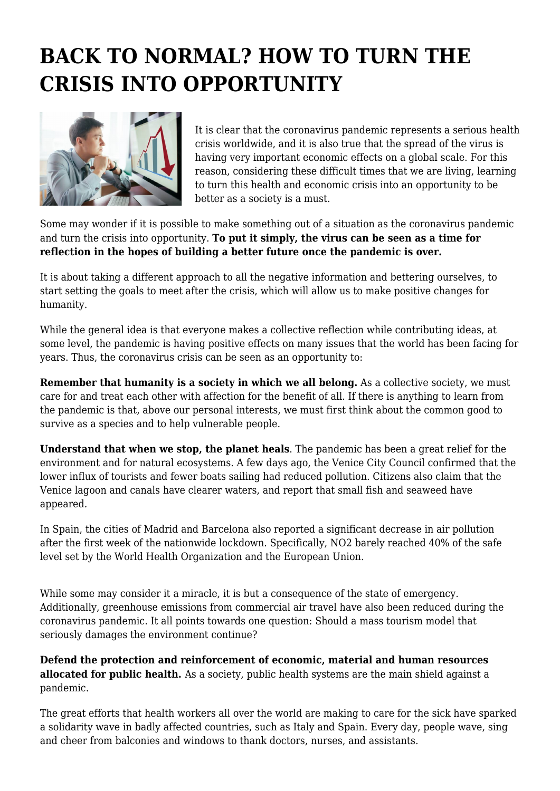## **BACK TO NORMAL? HOW TO TURN THE CRISIS INTO OPPORTUNITY**



It is clear that the coronavirus pandemic represents a serious health crisis worldwide, and it is also true that the spread of the virus is having very important economic effects on a global scale. For this reason, considering these difficult times that we are living, learning to turn this health and economic crisis into an opportunity to be better as a society is a must.

Some may wonder if it is possible to make something out of a situation as the coronavirus pandemic and turn the crisis into opportunity. **To put it simply, the virus can be seen as a time for reflection in the hopes of building a better future once the pandemic is over.**

It is about taking a different approach to all the negative information and bettering ourselves, to start setting the goals to meet after the crisis, which will allow us to make positive changes for humanity.

While the general idea is that everyone makes a collective reflection while contributing ideas, at some level, the pandemic is having positive effects on many issues that the world has been facing for years. Thus, the coronavirus crisis can be seen as an opportunity to:

**Remember that humanity is a society in which we all belong.** As a collective society, we must care for and treat each other with affection for the benefit of all. If there is anything to learn from the pandemic is that, above our personal interests, we must first think about the common good to survive as a species and to help vulnerable people.

**Understand that when we stop, the planet heals**. The pandemic has been a great relief for the environment and for natural ecosystems. A few days ago, the Venice City Council confirmed that the lower influx of tourists and fewer boats sailing had reduced pollution. Citizens also claim that the Venice lagoon and canals have clearer waters, and report that small fish and seaweed have appeared.

In Spain, the cities of Madrid and Barcelona also reported a significant decrease in air pollution after the first week of the nationwide lockdown. Specifically, NO2 barely reached 40% of the safe level set by the World Health Organization and the European Union.

While some may consider it a miracle, it is but a consequence of the state of emergency. Additionally, greenhouse emissions from commercial air travel have also been reduced during the coronavirus pandemic. It all points towards one question: Should a mass tourism model that seriously damages the environment continue?

**Defend the protection and reinforcement of economic, material and human resources allocated for public health.** As a society, public health systems are the main shield against a pandemic.

The great efforts that health workers all over the world are making to care for the sick have sparked a solidarity wave in badly affected countries, such as Italy and Spain. Every day, people wave, sing and cheer from balconies and windows to thank doctors, nurses, and assistants.